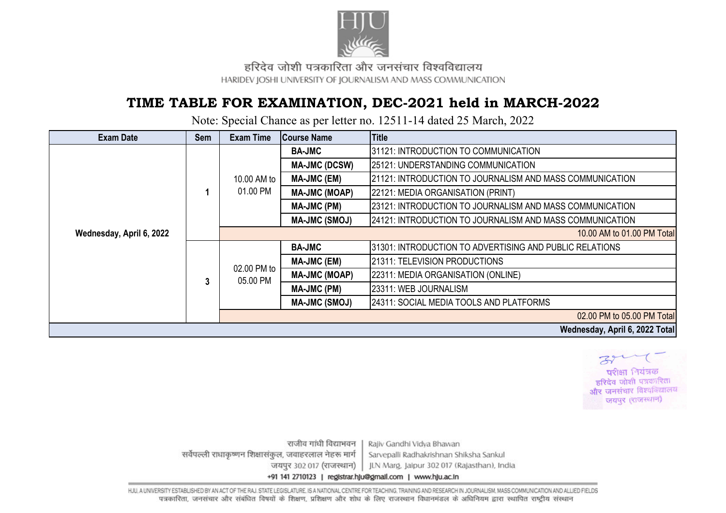

हरिदेव जोशी पत्रकारिता और जनसंचार विश्वविद्यालय HARIDEV JOSHI UNIVERSITY OF JOURNALISM AND MASS COMMUNICATION

## **TIME TABLE FOR EXAMINATION, DEC-2021 held in MARCH-2022**

Note: Special Chance as per letter no. 12511-14 dated 25 March, 2022

| <b>Exam Date</b>         | <b>Sem</b> | <b>Exam Time</b>        | <b>Course Name</b>   | <b>Title</b>                                             |
|--------------------------|------------|-------------------------|----------------------|----------------------------------------------------------|
| Wednesday, April 6, 2022 |            | 10.00 AM to<br>01.00 PM | <b>BA-JMC</b>        | 31121: INTRODUCTION TO COMMUNICATION                     |
|                          |            |                         | <b>MA-JMC (DCSW)</b> | 25121: UNDERSTANDING COMMUNICATION                       |
|                          |            |                         | <b>MA-JMC (EM)</b>   | 21121: INTRODUCTION TO JOURNALISM AND MASS COMMUNICATION |
|                          |            |                         | <b>MA-JMC (MOAP)</b> | 22121: MEDIA ORGANISATION (PRINT)                        |
|                          |            |                         | <b>MA-JMC (PM)</b>   | 23121: INTRODUCTION TO JOURNALISM AND MASS COMMUNICATION |
|                          |            |                         | <b>MA-JMC (SMOJ)</b> | 24121: INTRODUCTION TO JOURNALISM AND MASS COMMUNICATION |
|                          |            |                         |                      | 10.00 AM to 01.00 PM Total                               |
|                          | 3          | 02.00 PM to<br>05.00 PM | <b>BA-JMC</b>        | 31301: INTRODUCTION TO ADVERTISING AND PUBLIC RELATIONS  |
|                          |            |                         | <b>MA-JMC (EM)</b>   | 21311: TELEVISION PRODUCTIONS                            |
|                          |            |                         | <b>MA-JMC (MOAP)</b> | 22311: MEDIA ORGANISATION (ONLINE)                       |
|                          |            |                         | MA-JMC (PM)          | 23311: WEB JOURNALISM                                    |
|                          |            |                         | <b>MA-JMC (SMOJ)</b> | 24311: SOCIAL MEDIA TOOLS AND PLATFORMS                  |
|                          |            |                         |                      | 02.00 PM to 05.00 PM Total                               |
|                          |            |                         |                      | Wednesday, April 6, 2022 Total                           |



राजीव गांधी विद्याभवन Rajiv Gandhi Vidya Bhawan सर्वेपल्ली राधाकृष्णन शिक्षासंकल, जवाहरलाल नेहरू मार्ग Sarvepalli Radhakrishnan Shiksha Sankul जयपुर 302 017 (राजस्थान) JLN Marg. Jaipur 302 017 (Rajasthan), India +91 141 2710123 | registrar.hju@gmail.com | www.hju.ac.in

HJU, A UNIVERSITY ESTABLISHED BY AN ACT OF THE RAJ, STATE LEGISLATURE. IS A NATIONAL CENTRE FOR TEACHING, TRAINING AND RESEARCH IN JOURNALISM, MASS COMMUNICATION AND ALLIED FIELDS पत्रकारिता, जनसंचार और संबंधित विषयों के शिक्षण, प्रशिक्षण और शोध के लिए राजस्थान विधानमंडल के अधिनियम द्वारा स्थापित राष्टीय संस्थान